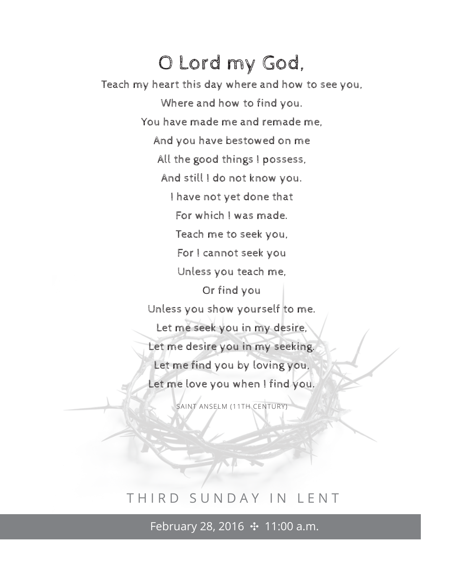## O Lord my God,

Teach my heart this day where and how to see you, Where and how to find you. You have made me and remade me, And you have bestowed on me All the good things I possess, And still I do not know you. I have not yet done that For which I was made. Teach me to seek you, For I cannot seek you Unless you teach me, Or find you Unless you show yourself to me. Let me seek you in my desire, Let me desire you in my seeking. Let me find you by loving you, Let me love you when I find you.

SAINT ANSELM (11TH CENTURY)

## THIRD SUNDAY IN LENT

February 28, 2016 ↔ 11:00 a.m.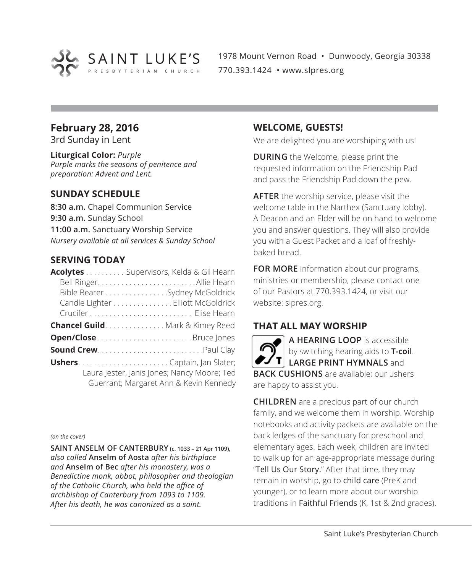

1978 Mount Vernon Road • Dunwoody, Georgia 30338 770.393.1424 • www.slpres.org

## **February 28, 2016**

3rd Sunday in Lent

**Liturgical Color:** *Purple Purple marks the seasons of penitence and preparation: Advent and Lent.*

## **SUNDAY SCHEDULE**

**8:30 a.m.** Chapel Communion Service **9:30 a.m.** Sunday School **11:00 a.m.** Sanctuary Worship Service *Nursery available at all services & Sunday School*

## **SERVING TODAY**

| Acolytes Supervisors, Kelda & Gil Hearn                                               |
|---------------------------------------------------------------------------------------|
|                                                                                       |
| Bible Bearer Sydney McGoldrick                                                        |
| Candle Lighter Elliott McGoldrick                                                     |
|                                                                                       |
| <b>Chancel Guild</b> Mark & Kimey Reed                                                |
|                                                                                       |
|                                                                                       |
|                                                                                       |
| Laura Jester, Janis Jones; Nancy Moore; Ted<br>Guerrant; Margaret Ann & Kevin Kennedy |

*(on the cover)*

**SAINT ANSELM OF CANTERBURY (c. 1033 – 21 Apr 1109),** *also called* **Anselm of Aosta** *after his birthplace and* **Anselm of Bec** *after his monastery, was a Benedictine monk, abbot, philosopher and theologian of the Catholic Church, who held the office of archbishop of Canterbury from 1093 to 1109. After his death, he was canonized as a saint.*

## **WELCOME, GUESTS!**

We are delighted you are worshiping with us!

**DURING** the Welcome, please print the requested information on the Friendship Pad and pass the Friendship Pad down the pew.

**AFTER** the worship service, please visit the welcome table in the Narthex (Sanctuary lobby). A Deacon and an Elder will be on hand to welcome you and answer questions. They will also provide you with a Guest Packet and a loaf of freshlybaked bread.

**FOR MORE** information about our programs, ministries or membership, please contact one of our Pastors at 770.393.1424, or visit our website: slpres.org.

## **THAT ALL MAY WORSHIP**

**A HEARING LOOP** is accessible by switching hearing aids to **T-coil**. **LARGE PRINT HYMNALS** and **BACK CUSHIONS** are available; our ushers are happy to assist you.

**CHILDREN** are a precious part of our church family, and we welcome them in worship. Worship notebooks and activity packets are available on the back ledges of the sanctuary for preschool and elementary ages. Each week, children are invited to walk up for an age-appropriate message during "Tell Us Our Story." After that time, they may remain in worship, go to child care (PreK and younger), or to learn more about our worship traditions in Faithful Friends (K, 1st & 2nd grades).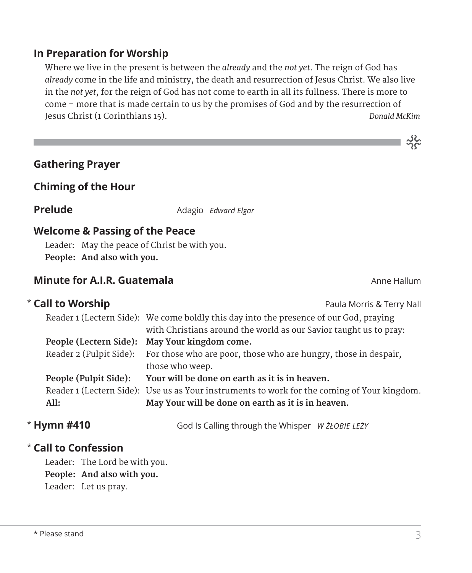## **In Preparation for Worship**

 Where we live in the present is between the *already* and the *not yet*. The reign of God has *already* come in the life and ministry, the death and resurrection of Jesus Christ. We also live in the *not yet*, for the reign of God has not come to earth in all its fullness. There is more to come – more that is made certain to us by the promises of God and by the resurrection of Jesus Christ (1 Corinthians 15). *Donald McKim*

| <b>Gathering Prayer</b> |  |
|-------------------------|--|
|-------------------------|--|

## **Chiming of the Hour**

\*

**Prelude** Adagio *Edward Elgar* 

## **Welcome & Passing of the Peace**

Leader: May the peace of Christ be with you. **People: And also with you.**

## **Minute for A.I.R. Guatemala** Anne Hallum Anne Hallum

ာင်း<br>သင်္

| <b>Call to Worship</b>  | Paula Morris & Terry Nall                                                                   |
|-------------------------|---------------------------------------------------------------------------------------------|
|                         | Reader 1 (Lectern Side): We come boldly this day into the presence of our God, praying      |
|                         | with Christians around the world as our Savior taught us to pray:                           |
| People (Lectern Side):  | May Your kingdom come.                                                                      |
| Reader 2 (Pulpit Side): | For those who are poor, those who are hungry, those in despair,                             |
|                         | those who weep.                                                                             |
| People (Pulpit Side):   | Your will be done on earth as it is in heaven.                                              |
|                         | Reader 1 (Lectern Side): Use us as Your instruments to work for the coming of Your kingdom. |
| All:                    | May Your will be done on earth as it is in heaven.                                          |
|                         |                                                                                             |

\* Hymn #410

**Hymn #410** God Is Calling through the Whisper *W ŻŁOBIE LEŻY*

## **Call to Confession**  \*

Leader: The Lord be with you. **People: And also with you.** Leader: Let us pray.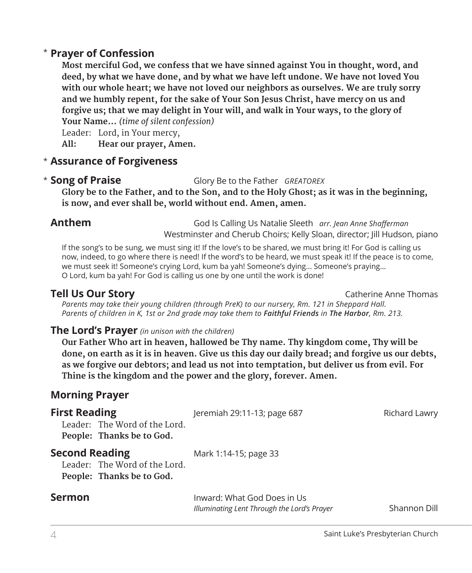## **Prayer of Confession**  \*

 **Most merciful God, we confess that we have sinned against You in thought, word, and deed, by what we have done, and by what we have left undone. We have not loved You with our whole heart; we have not loved our neighbors as ourselves. We are truly sorry and we humbly repent, for the sake of Your Son Jesus Christ, have mercy on us and forgive us; that we may delight in Your will, and walk in Your ways, to the glory of Your Name...** *(time of silent confession)*

Leader: Lord, in Your mercy,

**All: Hear our prayer, Amen.**

## **Assurance of Forgiveness** \*

## \* Song of Praise

**Song of Praise** Glory Be to the Father *GREATOREX*

 **Glory be to the Father, and to the Son, and to the Holy Ghost; as it was in the beginning, is now, and ever shall be, world without end. Amen, amen.**

**Anthem** God Is Calling Us Natalie Sleeth *arr. Jean Anne Shafferman*  Westminster and Cherub Choirs; Kelly Sloan, director; Jill Hudson, piano

 If the song's to be sung, we must sing it! If the love's to be shared, we must bring it! For God is calling us now, indeed, to go where there is need! If the word's to be heard, we must speak it! If the peace is to come, we must seek it! Someone's crying Lord, kum ba yah! Someone's dying... Someone's praying... O Lord, kum ba yah! For God is calling us one by one until the work is done!

**Tell Us Our Story** Catherine Anne Thomas Catherine Anne Thomas

*Parents may take their young children (through PreK) to our nursery, Rm. 121 in Sheppard Hall. Parents of children in K, 1st or 2nd grade may take them to Faithful Friends in The Harbor, Rm. 213.*

## **The Lord's Prayer** *(in unison with the children)*

 **Our Father Who art in heaven, hallowed be Thy name. Thy kingdom come, Thy will be done, on earth as it is in heaven. Give us this day our daily bread; and forgive us our debts, as we forgive our debtors; and lead us not into temptation, but deliver us from evil. For Thine is the kingdom and the power and the glory, forever. Amen.**

## **Morning Prayer**

| <b>First Reading</b><br>Leader: The Word of the Lord.<br>People: Thanks be to God.  | Jeremiah 29:11-13; page 687                                                | Richard Lawry |
|-------------------------------------------------------------------------------------|----------------------------------------------------------------------------|---------------|
| <b>Second Reading</b><br>Leader: The Word of the Lord.<br>People: Thanks be to God. | Mark 1:14-15; page 33                                                      |               |
| <b>Sermon</b>                                                                       | Inward: What God Does in Us<br>Illuminating Lent Through the Lord's Prayer | Shannon Dill  |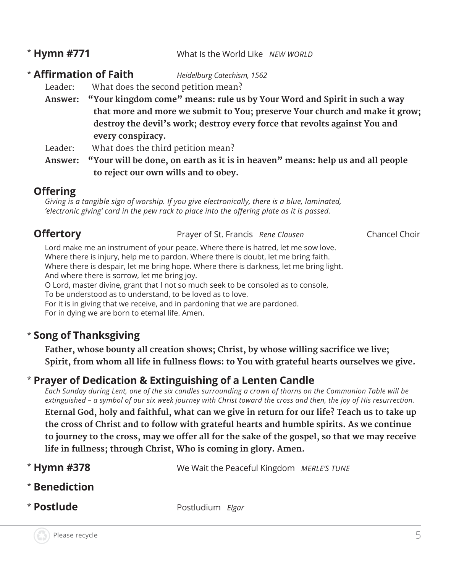## \* Hymn #771

**Hymn #771** What Is the World Like *NEW WORLD*

## \* **Affirmation of Faith** *Heidelburg Catechism, 1562*

Leader: What does the second petition mean?

**Answer: "Your kingdom come" means: rule us by Your Word and Spirit in such a way that more and more we submit to You; preserve Your church and make it grow; destroy the devil's work; destroy every force that revolts against You and every conspiracy.** 

Leader: What does the third petition mean?

**Answer: "Your will be done, on earth as it is in heaven" means: help us and all people to reject our own wills and to obey.** 

## **Offering**

*Giving is a tangible sign of worship. If you give electronically, there is a blue, laminated, 'electronic giving' card in the pew rack to place into the offering plate as it is passed.* 

**Offertory Prayer of St. Francis** *Rene Clausen* **Chancel Choir** 

 Lord make me an instrument of your peace. Where there is hatred, let me sow love. Where there is injury, help me to pardon. Where there is doubt, let me bring faith. Where there is despair, let me bring hope. Where there is darkness, let me bring light. And where there is sorrow, let me bring joy. O Lord, master divine, grant that I not so much seek to be consoled as to console,

To be understood as to understand, to be loved as to love.

For it is in giving that we receive, and in pardoning that we are pardoned.

For in dying we are born to eternal life. Amen.

## \* **Song of Thanksgiving**

**Father, whose bounty all creation shows; Christ, by whose willing sacrifice we live; Spirit, from whom all life in fullness flows: to You with grateful hearts ourselves we give.**

## \* **Prayer of Dedication & Extinguishing of a Lenten Candle**

*Each Sunday during Lent, one of the six candles surrounding a crown of thorns on the Communion Table will be extinguished – a symbol of our six week journey with Christ toward the cross and then, the joy of His resurrection.*   **Eternal God, holy and faithful, what can we give in return for our life? Teach us to take up the cross of Christ and to follow with grateful hearts and humble spirits. As we continue**  to journey to the cross, may we offer all for the sake of the gospel, so that we may receive **life in fullness; through Christ, Who is coming in glory. Amen.**

- \* Hymn #378 We Wait the Peaceful Kingdom *MERLE'S TUNE*
- \* **Benediction**
- \* Postlude

**Postlude** Postludium *Elgar*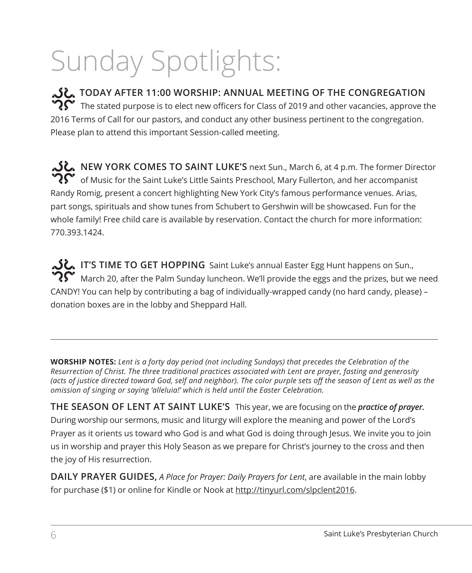# Sunday Spotlights:

**TODAY AFTER 11:00 WORSHIP: ANNUAL MEETING OF THE CONGREGATION**  $\mathbf{C}$  The stated purpose is to elect new officers for Class of 2019 and other vacancies, approve the 2016 Terms of Call for our pastors, and conduct any other business pertinent to the congregation. Please plan to attend this important Session-called meeting.

**NEW YORK COMES TO SAINT LUKE'S** next Sun., March 6, at 4 p.m. The former Director of Music for the Saint Luke's Little Saints Preschool, Mary Fullerton, and her accompanist Randy Romig, present a concert highlighting New York City's famous performance venues. Arias, part songs, spirituals and show tunes from Schubert to Gershwin will be showcased. Fun for the whole family! Free child care is available by reservation. Contact the church for more information: 770.393.1424.

**IT'S TIME TO GET HOPPING** Saint Luke's annual Easter Egg Hunt happens on Sun.,  $\mathbf{R}^{\bullet}$  March 20, after the Palm Sunday luncheon. We'll provide the eggs and the prizes, but we need CANDY! You can help by contributing a bag of individually-wrapped candy (no hard candy, please) – donation boxes are in the lobby and Sheppard Hall.

**WORSHIP NOTES:** *Lent is a forty day period (not including Sundays) that precedes the Celebration of the Resurrection of Christ. The three traditional practices associated with Lent are prayer, fasting and generosity (acts of justice directed toward God, self and neighbor). The color purple sets off the season of Lent as well as the omission of singing or saying 'alleluia!' which is held until the Easter Celebration.* 

**THE SEASON OF LENT AT SAINT LUKE'S** This year, we are focusing on the *practice of prayer.* During worship our sermons, music and liturgy will explore the meaning and power of the Lord's Prayer as it orients us toward who God is and what God is doing through Jesus. We invite you to join us in worship and prayer this Holy Season as we prepare for Christ's journey to the cross and then the joy of His resurrection.

**DAILY PRAYER GUIDES,** *A Place for Prayer: Daily Prayers for Lent*, are available in the main lobby for purchase (\$1) or online for Kindle or Nook at http://tinyurl.com/slpclent2016.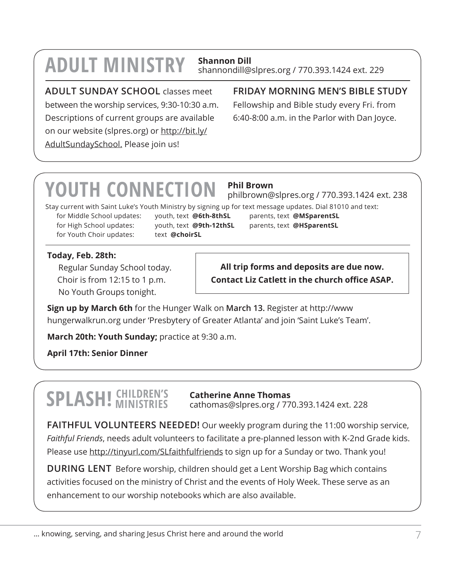# **ADULT MINISTRY Shannon Dill**

## shannondill@slpres.org / 770.393.1424 ext. 229

**ADULT SUNDAY SCHOOL** classes meet

between the worship services, 9:30-10:30 a.m. Descriptions of current groups are available on our website (slpres.org) or http://bit.ly/ AdultSundaySchool. Please join us!

## **FRIDAY MORNING MEN'S BIBLE STUDY**

Fellowship and Bible study every Fri. from 6:40-8:00 a.m. in the Parlor with Dan Joyce.

# **YOUTH CONNECTION Phil Brown**

philbrown@slpres.org / 770.393.1424 ext. 238

Stay current with Saint Luke's Youth Ministry by signing up for text message updates. Dial 81010 and text:

for Middle School updates: youth, text **@6th-8thSL** parents, text **@MSparentSL** for High School updates: youth, text **@9th-12thSL** parents, text **@HSparentSL** for Youth Choir updates: text **@choirSL** 

## **Today, Feb. 28th:**

Regular Sunday School today. Choir is from 12:15 to 1 p.m. No Youth Groups tonight.

**All trip forms and deposits are due now. Contact Liz Catlett in the church office ASAP.**

**Sign up by March 6th** for the Hunger Walk on **March 13.** Register at http://www hungerwalkrun.org under 'Presbytery of Greater Atlanta' and join 'Saint Luke's Team'.

**March 20th: Youth Sunday;** practice at 9:30 a.m.

**April 17th: Senior Dinner**

# **SPLASH! CHILDREN'S MINISTRIES**

**Catherine Anne Thomas** cathomas@slpres.org / 770.393.1424 ext. 228

**FAITHFUL VOLUNTEERS NEEDED!** Our weekly program during the 11:00 worship service, *Faithful Friends*, needs adult volunteers to facilitate a pre-planned lesson with K-2nd Grade kids. Please use http://tinyurl.com/SLfaithfulfriends to sign up for a Sunday or two. Thank you!

**DURING LENT** Before worship, children should get a Lent Worship Bag which contains activities focused on the ministry of Christ and the events of Holy Week. These serve as an enhancement to our worship notebooks which are also available.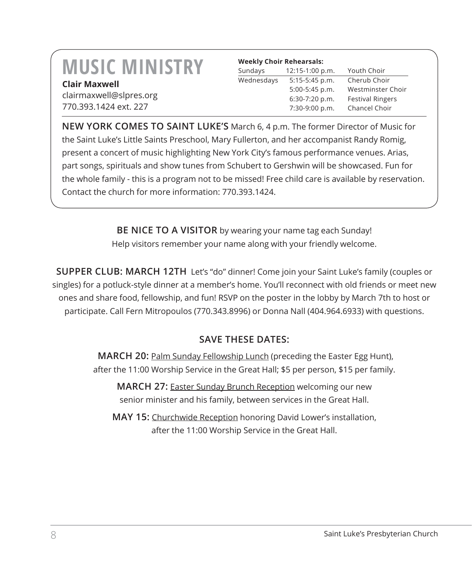## **MUSIC MINISTRY Clair Maxwell**

| <b>Weekly Choir Rehearsals:</b> |                   |                         |
|---------------------------------|-------------------|-------------------------|
| Sundays                         | $12:15-1:00 p.m.$ | Youth Choir             |
| Wednesdays                      | $5:15-5:45$ p.m.  | Cherub Choir            |
|                                 | 5:00-5:45 p.m.    | Westminster Choir       |
|                                 | 6:30-7:20 p.m.    | <b>Festival Ringers</b> |
|                                 | 7:30-9:00 p.m.    | Chancel Choir           |

clairmaxwell@slpres.org 770.393.1424 ext. 227

**NEW YORK COMES TO SAINT LUKE'S** March 6, 4 p.m. The former Director of Music for the Saint Luke's Little Saints Preschool, Mary Fullerton, and her accompanist Randy Romig, present a concert of music highlighting New York City's famous performance venues. Arias, part songs, spirituals and show tunes from Schubert to Gershwin will be showcased. Fun for the whole family - this is a program not to be missed! Free child care is available by reservation. Contact the church for more information: 770.393.1424.

> **BE NICE TO A VISITOR** by wearing your name tag each Sunday! Help visitors remember your name along with your friendly welcome.

**SUPPER CLUB: MARCH 12TH** Let's "do" dinner! Come join your Saint Luke's family (couples or singles) for a potluck-style dinner at a member's home. You'll reconnect with old friends or meet new ones and share food, fellowship, and fun! RSVP on the poster in the lobby by March 7th to host or participate. Call Fern Mitropoulos (770.343.8996) or Donna Nall (404.964.6933) with questions.

## **SAVE THESE DATES:**

**MARCH 20: Palm Sunday Fellowship Lunch (preceding the Easter Egg Hunt),** after the 11:00 Worship Service in the Great Hall; \$5 per person, \$15 per family.

**MARCH 27:** Easter Sunday Brunch Reception welcoming our new senior minister and his family, between services in the Great Hall.

**MAY 15:** Churchwide Reception honoring David Lower's installation, after the 11:00 Worship Service in the Great Hall.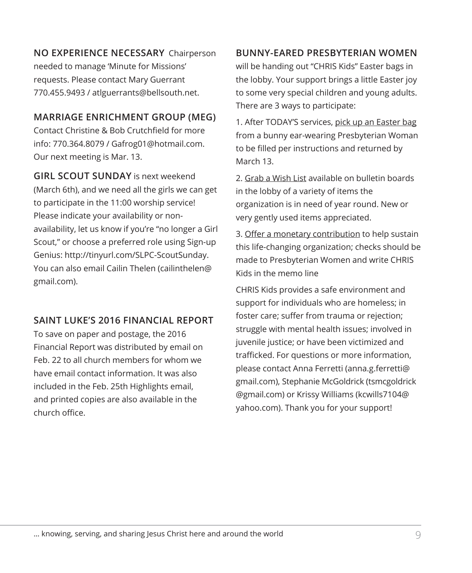**NO EXPERIENCE NECESSARY** Chairperson needed to manage 'Minute for Missions' requests. Please contact Mary Guerrant 770.455.9493 / atlguerrants@bellsouth.net.

## **MARRIAGE ENRICHMENT GROUP (MEG)**

Contact Christine & Bob Crutchfield for more info: 770.364.8079 / Gafrog01@hotmail.com. Our next meeting is Mar. 13.

**GIRL SCOUT SUNDAY** is next weekend (March 6th), and we need all the girls we can get to participate in the 11:00 worship service! Please indicate your availability or nonavailability, let us know if you're "no longer a Girl Scout," or choose a preferred role using Sign-up Genius: http://tinyurl.com/SLPC-ScoutSunday. You can also email Cailin Thelen (cailinthelen@ gmail.com).

## **SAINT LUKE'S 2016 FINANCIAL REPORT**

To save on paper and postage, the 2016 Financial Report was distributed by email on Feb. 22 to all church members for whom we have email contact information. It was also included in the Feb. 25th Highlights email, and printed copies are also available in the church office.

## **BUNNY-EARED PRESBYTERIAN WOMEN**

will be handing out "CHRIS Kids" Easter bags in the lobby. Your support brings a little Easter joy to some very special children and young adults. There are 3 ways to participate:

1. After TODAY'S services, pick up an Easter bag from a bunny ear-wearing Presbyterian Woman to be filled per instructions and returned by March 13.

2. Grab a Wish List available on bulletin boards in the lobby of a variety of items the organization is in need of year round. New or very gently used items appreciated.

3. Offer a monetary contribution to help sustain this life-changing organization; checks should be made to Presbyterian Women and write CHRIS Kids in the memo line

CHRIS Kids provides a safe environment and support for individuals who are homeless; in foster care; suffer from trauma or rejection; struggle with mental health issues; involved in juvenile justice; or have been victimized and trafficked. For questions or more information, please contact Anna Ferretti (anna.g.ferretti@ gmail.com), Stephanie McGoldrick (tsmcgoldrick @gmail.com) or Krissy Williams (kcwills7104@ yahoo.com). Thank you for your support!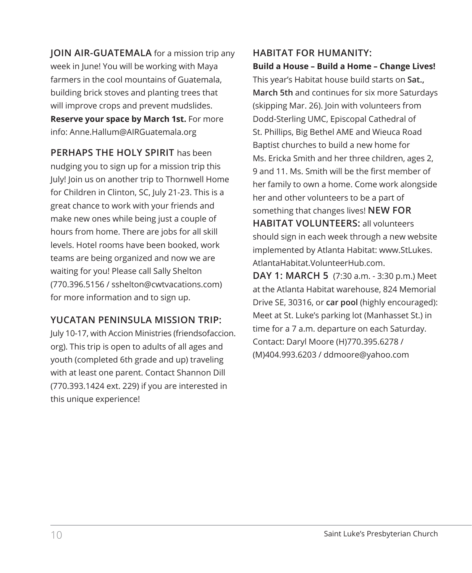**JOIN AIR-GUATEMALA** for a mission trip any week in June! You will be working with Maya farmers in the cool mountains of Guatemala, building brick stoves and planting trees that will improve crops and prevent mudslides. **Reserve your space by March 1st.** For more info: Anne.Hallum@AIRGuatemala.org

**PERHAPS THE HOLY SPIRIT** has been nudging you to sign up for a mission trip this July! Join us on another trip to Thornwell Home for Children in Clinton, SC, July 21-23. This is a great chance to work with your friends and make new ones while being just a couple of hours from home. There are jobs for all skill levels. Hotel rooms have been booked, work teams are being organized and now we are waiting for you! Please call Sally Shelton (770.396.5156 / sshelton@cwtvacations.com) for more information and to sign up.

## **YUCATAN PENINSULA MISSION TRIP:**

July 10-17, with Accion Ministries (friendsofaccion. org). This trip is open to adults of all ages and youth (completed 6th grade and up) traveling with at least one parent. Contact Shannon Dill (770.393.1424 ext. 229) if you are interested in this unique experience!

## **HABITAT FOR HUMANITY: Build a House – Build a Home – Change Lives!**

This year's Habitat house build starts on **Sat., March 5th** and continues for six more Saturdays (skipping Mar. 26). Join with volunteers from Dodd-Sterling UMC, Episcopal Cathedral of St. Phillips, Big Bethel AME and Wieuca Road Baptist churches to build a new home for Ms. Ericka Smith and her three children, ages 2, 9 and 11. Ms. Smith will be the first member of her family to own a home. Come work alongside her and other volunteers to be a part of something that changes lives! **NEW FOR HABITAT VOLUNTEERS:** all volunteers should sign in each week through a new website implemented by Atlanta Habitat: www.StLukes. AtlantaHabitat.VolunteerHub.com.

**DAY 1: MARCH 5** (7:30 a.m. - 3:30 p.m.) Meet at the Atlanta Habitat warehouse, 824 Memorial Drive SE, 30316, or **car pool** (highly encouraged): Meet at St. Luke's parking lot (Manhasset St.) in time for a 7 a.m. departure on each Saturday. Contact: Daryl Moore (H)770.395.6278 / (M)404.993.6203 / ddmoore@yahoo.com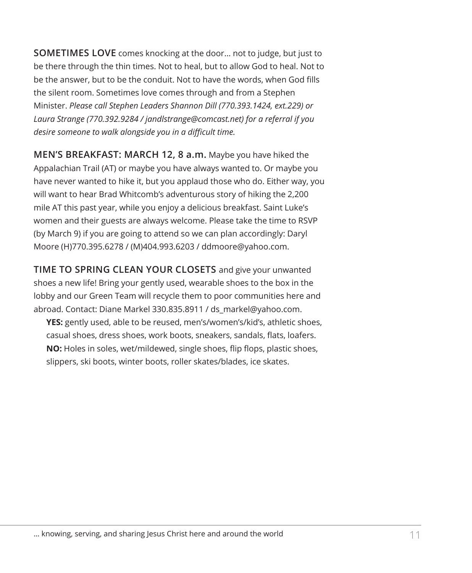**SOMETIMES LOVE** comes knocking at the door... not to judge, but just to be there through the thin times. Not to heal, but to allow God to heal. Not to be the answer, but to be the conduit. Not to have the words, when God fills the silent room. Sometimes love comes through and from a Stephen Minister. *Please call Stephen Leaders Shannon Dill (770.393.1424, ext.229) or Laura Strange (770.392.9284 / jandlstrange@comcast.net) for a referral if you desire someone to walk alongside you in a difficult time.*

**MEN'S BREAKFAST: MARCH 12, 8 a.m.** Maybe you have hiked the Appalachian Trail (AT) or maybe you have always wanted to. Or maybe you have never wanted to hike it, but you applaud those who do. Either way, you will want to hear Brad Whitcomb's adventurous story of hiking the 2,200 mile AT this past year, while you enjoy a delicious breakfast. Saint Luke's women and their guests are always welcome. Please take the time to RSVP (by March 9) if you are going to attend so we can plan accordingly: Daryl Moore (H)770.395.6278 / (M)404.993.6203 / ddmoore@yahoo.com.

**TIME TO SPRING CLEAN YOUR CLOSETS** and give your unwanted shoes a new life! Bring your gently used, wearable shoes to the box in the lobby and our Green Team will recycle them to poor communities here and abroad. Contact: Diane Markel 330.835.8911 / ds\_markel@yahoo.com.

**YES:** gently used, able to be reused, men's/women's/kid's, athletic shoes, casual shoes, dress shoes, work boots, sneakers, sandals, flats, loafers. **NO:** Holes in soles, wet/mildewed, single shoes, flip flops, plastic shoes, slippers, ski boots, winter boots, roller skates/blades, ice skates.